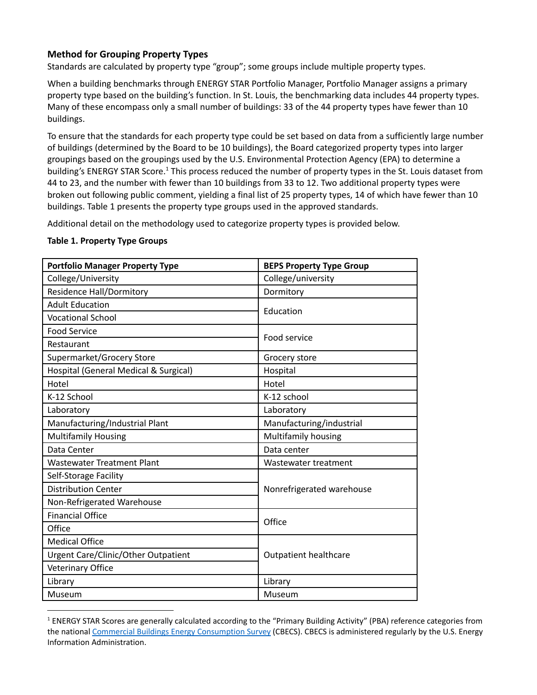## **Method for Grouping Property Types**

Standards are calculated by property type "group"; some groups include multiple property types.

When a building benchmarks through ENERGY STAR Portfolio Manager, Portfolio Manager assigns a primary property type based on the building's function. In St. Louis, the benchmarking data includes 44 property types. Many of these encompass only a small number of buildings: 33 of the 44 property types have fewer than 10 buildings.

To ensure that the standards for each property type could be set based on data from a sufficiently large number of buildings (determined by the Board to be 10 buildings), the Board categorized property types into larger groupings based on the groupings used by the U.S. Environmental Protection Agency (EPA) to determine a building's ENERGY STAR Score.<sup>1</sup> This process reduced the number of property types in the St. Louis dataset from 44 to 23, and the number with fewer than 10 buildings from 33 to 12. Two additional property types were broken out following public comment, yielding a final list of 25 property types, 14 of which have fewer than 10 buildings. Table 1 presents the property type groups used in the approved standards.

Additional detail on the methodology used to categorize property types is provided below.

## **Table 1. Property Type Groups**

| <b>Portfolio Manager Property Type</b> | <b>BEPS Property Type Group</b> |  |
|----------------------------------------|---------------------------------|--|
| College/University                     | College/university              |  |
| <b>Residence Hall/Dormitory</b>        | Dormitory                       |  |
| <b>Adult Education</b>                 | Education                       |  |
| <b>Vocational School</b>               |                                 |  |
| <b>Food Service</b>                    | Food service                    |  |
| Restaurant                             |                                 |  |
| Supermarket/Grocery Store              | Grocery store                   |  |
| Hospital (General Medical & Surgical)  | Hospital                        |  |
| Hotel                                  | Hotel                           |  |
| K-12 School                            | K-12 school                     |  |
| Laboratory                             | Laboratory                      |  |
| Manufacturing/Industrial Plant         | Manufacturing/industrial        |  |
| <b>Multifamily Housing</b>             | Multifamily housing             |  |
| Data Center                            | Data center                     |  |
| <b>Wastewater Treatment Plant</b>      | Wastewater treatment            |  |
| Self-Storage Facility                  | Nonrefrigerated warehouse       |  |
| <b>Distribution Center</b>             |                                 |  |
| Non-Refrigerated Warehouse             |                                 |  |
| <b>Financial Office</b>                | Office                          |  |
| Office                                 |                                 |  |
| <b>Medical Office</b>                  |                                 |  |
| Urgent Care/Clinic/Other Outpatient    | <b>Outpatient healthcare</b>    |  |
| <b>Veterinary Office</b>               |                                 |  |
| Library                                | Library                         |  |
| Museum                                 | Museum                          |  |

<sup>&</sup>lt;sup>1</sup> ENERGY STAR Scores are generally calculated according to the "Primary Building Activity" (PBA) reference categories from the national Commercial Buildings Energy [Consumption](https://www.eia.gov/consumption/commercial/about.php) Survey (CBECS). CBECS is administered regularly by the U.S. Energy Information Administration.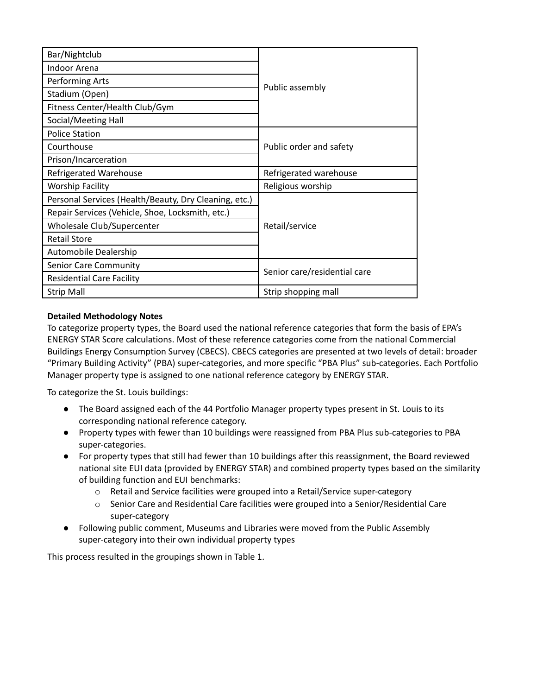| Bar/Nightclub                                         | Public assembly              |  |
|-------------------------------------------------------|------------------------------|--|
| Indoor Arena                                          |                              |  |
| Performing Arts                                       |                              |  |
| Stadium (Open)                                        |                              |  |
| Fitness Center/Health Club/Gym                        |                              |  |
| Social/Meeting Hall                                   |                              |  |
| <b>Police Station</b>                                 | Public order and safety      |  |
| Courthouse                                            |                              |  |
| Prison/Incarceration                                  |                              |  |
| <b>Refrigerated Warehouse</b>                         | Refrigerated warehouse       |  |
| <b>Worship Facility</b>                               | Religious worship            |  |
| Personal Services (Health/Beauty, Dry Cleaning, etc.) | Retail/service               |  |
| Repair Services (Vehicle, Shoe, Locksmith, etc.)      |                              |  |
| Wholesale Club/Supercenter                            |                              |  |
| <b>Retail Store</b>                                   |                              |  |
| Automobile Dealership                                 |                              |  |
| Senior Care Community                                 | Senior care/residential care |  |
| <b>Residential Care Facility</b>                      |                              |  |
| <b>Strip Mall</b>                                     | Strip shopping mall          |  |

## **Detailed Methodology Notes**

To categorize property types, the Board used the national reference categories that form the basis of EPA's ENERGY STAR Score calculations. Most of these reference categories come from the national Commercial Buildings Energy Consumption Survey (CBECS). CBECS categories are presented at two levels of detail: broader "Primary Building Activity" (PBA) super-categories, and more specific "PBA Plus" sub-categories. Each Portfolio Manager property type is assigned to one national reference category by ENERGY STAR.

To categorize the St. Louis buildings:

- The Board assigned each of the 44 Portfolio Manager property types present in St. Louis to its corresponding national reference category.
- Property types with fewer than 10 buildings were reassigned from PBA Plus sub-categories to PBA super-categories.
- For property types that still had fewer than 10 buildings after this reassignment, the Board reviewed national site EUI data (provided by ENERGY STAR) and combined property types based on the similarity of building function and EUI benchmarks:
	- o Retail and Service facilities were grouped into a Retail/Service super-category
	- $\circ$  Senior Care and Residential Care facilities were grouped into a Senior/Residential Care super-category
- Following public comment, Museums and Libraries were moved from the Public Assembly super-category into their own individual property types

This process resulted in the groupings shown in Table 1.